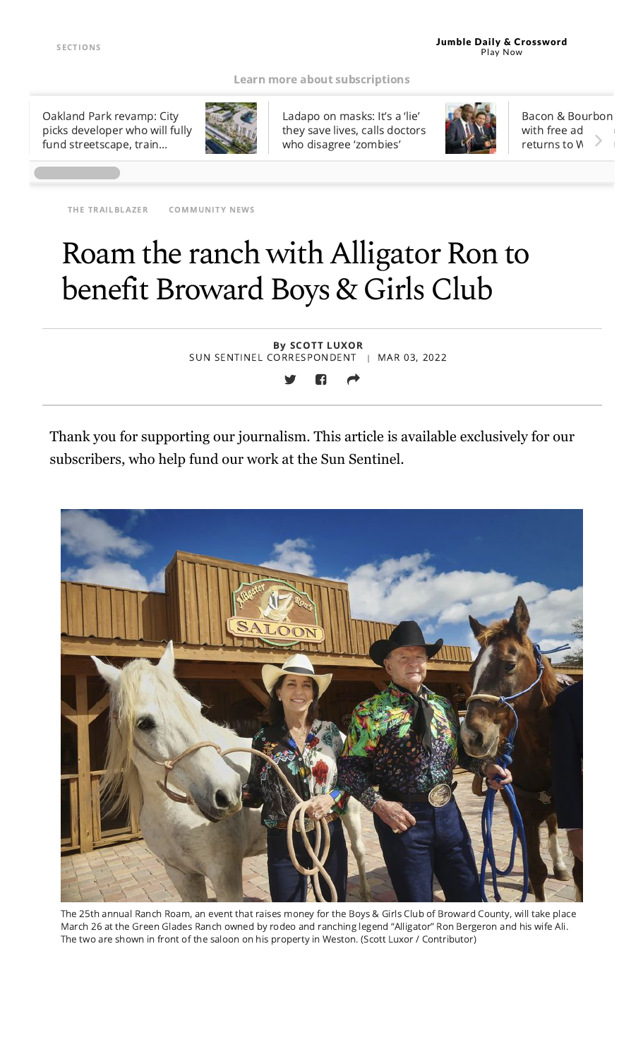#### Learn more about [subscriptions](https://www.sun-sentinel.com/about/fl-south-florida-sun-sentinel-subscriber-benefits-20190723-57swzzhygzhejnm3r4icfgknti-story.html#nt=screamer)

Oakland Park revamp: City picks developer who will fully fund [streetscape,](https://www.sun-sentinel.com/business/fl-bz-oakland-park-downtown-redevelopment-20220303-wuuercz2azgbbleijgytchbani-story.html#nt=tertiarynavbar&nt=ticker) train…



Ladapo on masks: It's a 'lie' they save lives, calls doctors who disagree ['zombies'](https://www.sun-sentinel.com/news/politics/os-ne-ladapo-masks-lie-20220303-vdmnbvqlbfccnndoupjuizcfzi-story.html#nt=tertiarynavbar&nt=ticker)



Bacon & [Bourbon](https://www.sun-sentinel.com/entertainment/fl-et-bacon-and-bourbon-fest-wellington-20220302-fml7d77sujcathhh3derxphehu-story.html#nt=tertiarynavbar&nt=ticker) with free ad returns to V

THE [TRAILBLAZER](https://www.sun-sentinel.com/community/the-trailblazer/#nt=taxonomy-article) [COMMUNITY](https://www.sun-sentinel.com/community/#nt=taxonomy-article) NEWS

# Roam the ranch with Alligator Ron to benefit Broward Boys & Girls Club

By SCOTT LUXOR SUN SENTINEL CORRESPONDENT | MAR 03, 2022

Thank you for supporting our journalism. This article is available exclusively for our subscribers, who help fund our work at the Sun Sentinel.



The 25th annual Ranch Roam, an event that raises money for the Boys & Girls Club of Broward County, will take place March 26 at the Green Glades Ranch owned by rodeo and ranching legend "Alligator" Ron Bergeron and his wife Ali. The two are shown in front of the saloon on his property in Weston. (Scott Luxor / Contributor)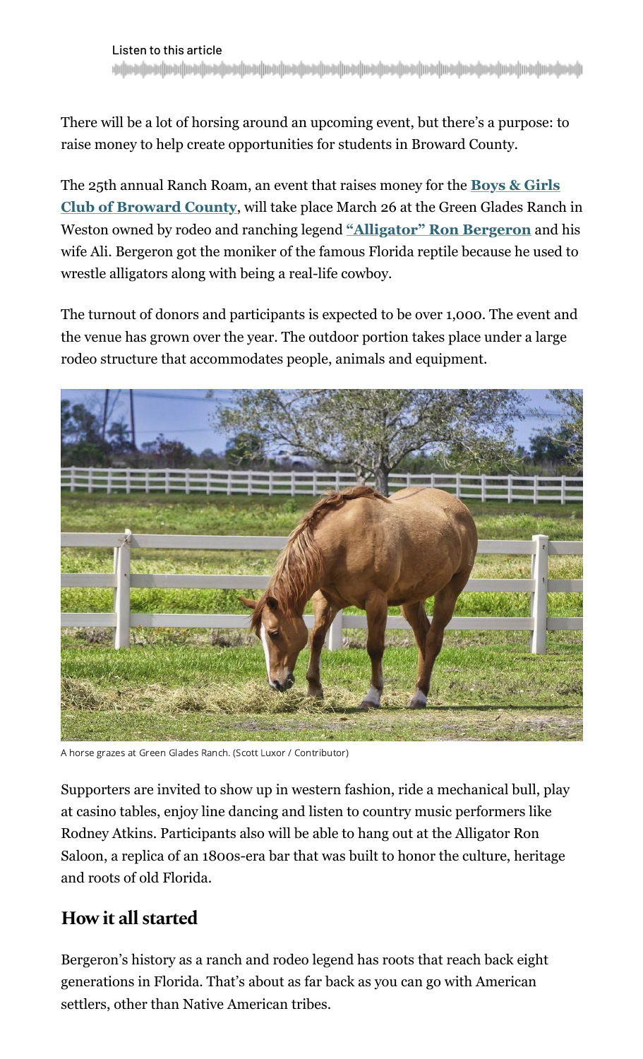There will be a lot of horsing around an upcoming event, but there's a purpose: to raise money to help create opportunities for students in Broward County.

[The 25th annual Ranch Roam, an event that raises money for the](https://www.bgcbc.org/) **Boys & Girls Club of Broward County**, will take place March 26 at the Green Glades Ranch in Weston owned by rodeo and ranching legend ["Alligator" Ron Bergeron](http://www.alligatorronbergeron.com/) and his wife Ali. Bergeron got the moniker of the famous Florida reptile because he used to wrestle alligators along with being a real-life cowboy.

The turnout of donors and participants is expected to be over 1,000. The event and the venue has grown over the year. The outdoor portion takes place under a large rodeo structure that accommodates people, animals and equipment.



A horse grazes at Green Glades Ranch. (Scott Luxor / Contributor)

Supporters are invited to show up in western fashion, ride a mechanical bull, play at casino tables, enjoy line dancing and listen to country music performers like Rodney Atkins. Participants also will be able to hang out at the Alligator Ron Saloon, a replica of an 1800s-era bar that was built to honor the culture, heritage and roots of old Florida.

### **How it all started**

Bergeron's history as a ranch and rodeo legend has roots that reach back eight generations in Florida. That's about as far back as you can go with American settlers, other than Native American tribes.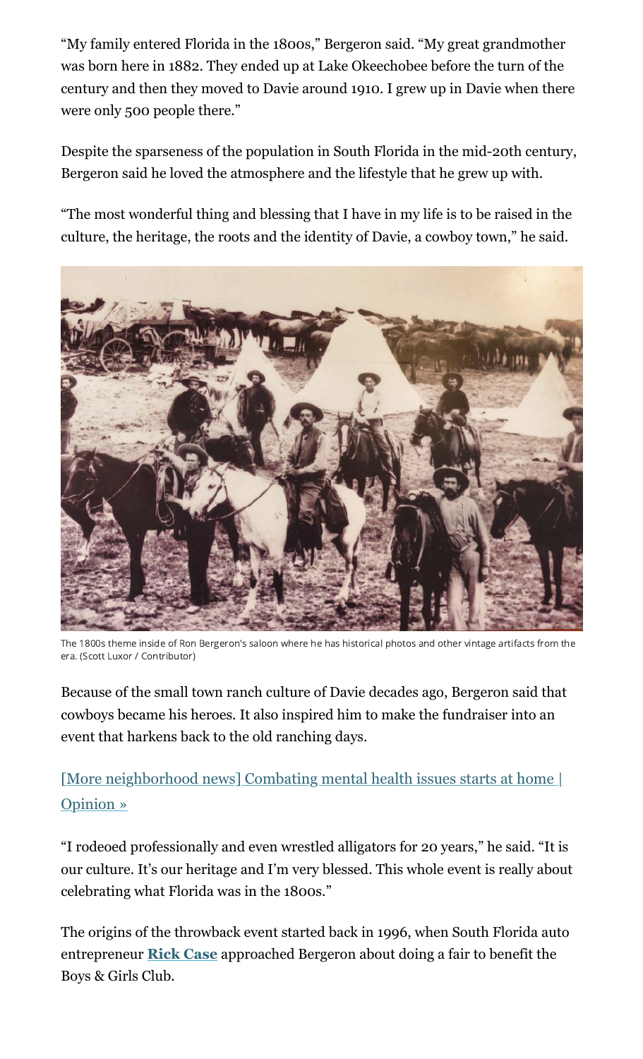"My family entered Florida in the 1800s," Bergeron said. "My great grandmother was born here in 1882. They ended up at Lake Okeechobee before the turn of the century and then they moved to Davie around 1910. I grew up in Davie when there were only 500 people there."

Despite the sparseness of the population in South Florida in the mid-20th century, Bergeron said he loved the atmosphere and the lifestyle that he grew up with.

"The most wonderful thing and blessing that I have in my life is to be raised in the culture, the heritage, the roots and the identity of Davie, a cowboy town," he said.



The 1800s theme inside of Ron Bergeron's saloon where he has historical photos and other vintage artifacts from the era. (Scott Luxor / Contributor)

Because of the small town ranch culture of Davie decades ago, Bergeron said that cowboys became his heroes. It also inspired him to make the fundraiser into an event that harkens back to the old ranching days.

### [\[More neighborhood news\] Combating mental health issues starts at home |](https://www.sun-sentinel.com/community/the-forum/fl-cn-opinion-parents-impact-on-mental-health-20220303-jxf6l54kqnhgxf2rkdcuk4m3ki-story.html#nt=interstitial-auto) Opinion »

"I rodeoed professionally and even wrestled alligators for 20 years," he said. "It is our culture. It's our heritage and I'm very blessed. This whole event is really about celebrating what Florida was in the 1800s."

The origins of the throwback event started back in 1996, when South Florida auto entrepreneur **[Rick Case](https://rickcase.com/)** approached Bergeron about doing a fair to benefit the Boys & Girls Club.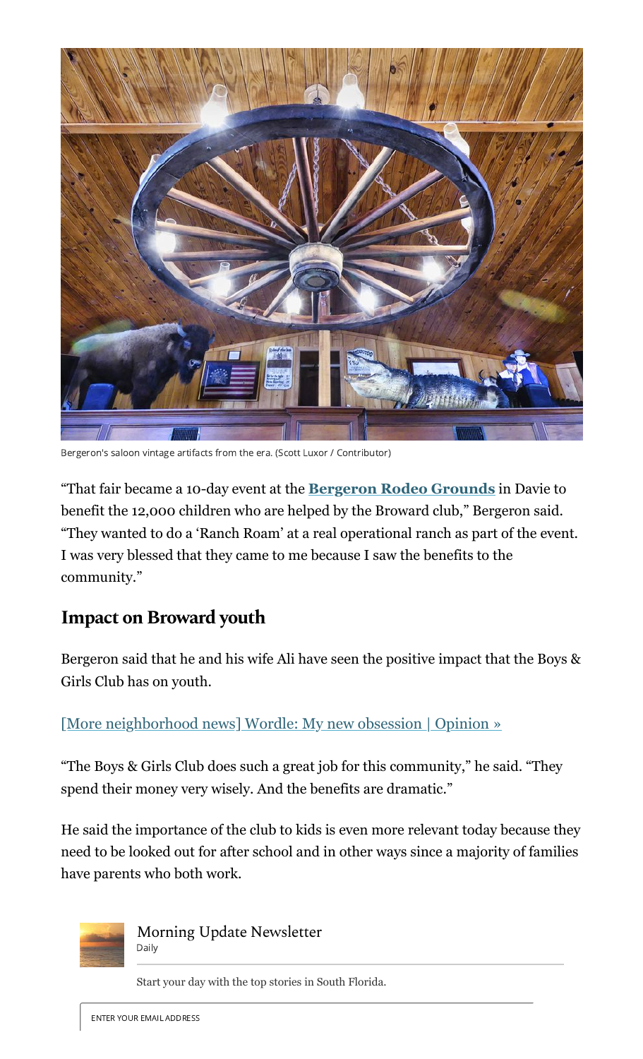

Bergeron's saloon vintage artifacts from the era. (Scott Luxor / Contributor)

"That fair became a 10-day event at the **[Bergeron Rodeo Grounds](https://www.davie-fl.gov/276/Bergeron-Rodeo-Grounds)** in Davie to benefit the 12,000 children who are helped by the Broward club," Bergeron said. "They wanted to do a 'Ranch Roam' at a real operational ranch as part of the event. I was very blessed that they came to me because I saw the benefits to the community."

### **Impact on Broward youth**

Bergeron said that he and his wife Ali have seen the positive impact that the Boys & Girls Club has on youth.

[\[More neighborhood news\] Wordle: My new obsession | Opinion »](https://www.sun-sentinel.com/community/the-forum/fl-cn-opinion-wordle-addiction-20220303-nkqjazaxnndilgc2jsmoscxm74-story.html#nt=interstitial-auto)

"The Boys & Girls Club does such a great job for this community," he said. "They spend their money very wisely. And the benefits are dramatic."

He said the importance of the club to kids is even more relevant today because they need to be looked out for after school and in other ways since a majority of families have parents who both work.



Morning Update Newsletter Daily

Start your day with the top stories in South Florida.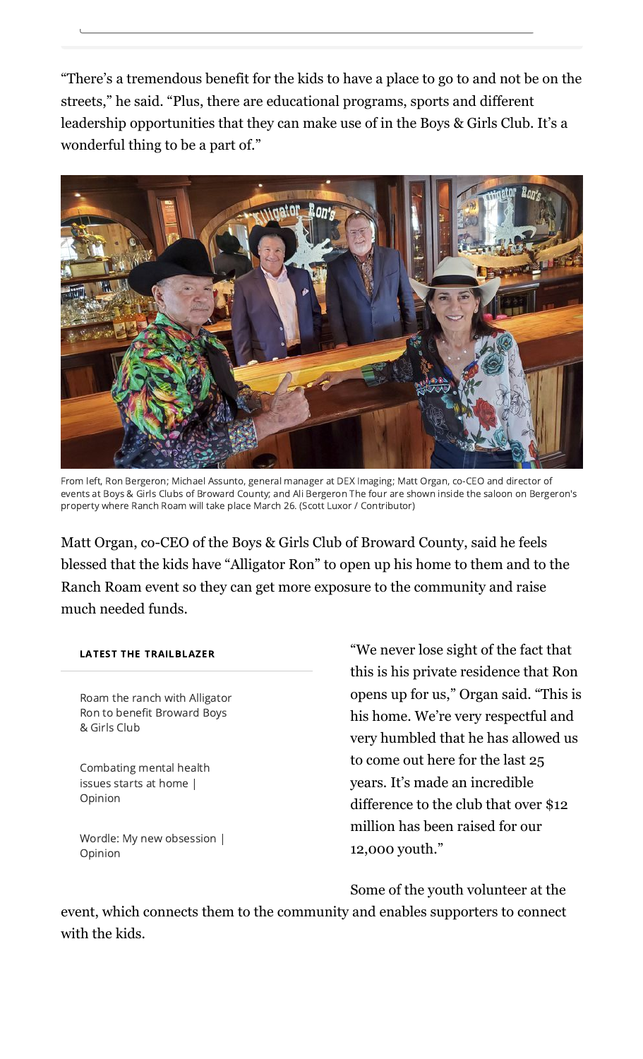"There's a tremendous benefit for the kids to have a place to go to and not be on the streets," he said. "Plus, there are educational programs, sports and different leadership opportunities that they can make use of in the Boys & Girls Club. It's a wonderful thing to be a part of."



From left, Ron Bergeron; Michael Assunto, general manager at DEX Imaging; Matt Organ, co-CEO and director of events at Boys & Girls Clubs of Broward County; and Ali Bergeron The four are shown inside the saloon on Bergeron's property where Ranch Roam will take place March 26. (Scott Luxor / Contributor)

Matt Organ, co-CEO of the Boys & Girls Club of Broward County, said he feels blessed that the kids have "Alligator Ron" to open up his home to them and to the Ranch Roam event so they can get more exposure to the community and raise much needed funds.

#### LATEST THE TRAILBLAZER

Roam the ranch with Alligator Ron to benefit Broward Boys & Girls Club

[Combating](https://www.sun-sentinel.com/community/the-forum/fl-cn-opinion-parents-impact-on-mental-health-20220303-jxf6l54kqnhgxf2rkdcuk4m3ki-story.html#nt=latestnews&rt=chartbeat-flt) mental health issues starts at home | Opinion

Wordle: My new [obsession](https://www.sun-sentinel.com/community/the-forum/fl-cn-opinion-wordle-addiction-20220303-nkqjazaxnndilgc2jsmoscxm74-story.html#nt=latestnews&rt=chartbeat-flt) | Opinion

"We never lose sight of the fact that this is his private residence that Ron opens up for us," Organ said. "This is his home. We're very respectful and very humbled that he has allowed us to come out here for the last 25 years. It's made an incredible difference to the club that over \$12 million has been raised for our 12,000 youth."

Some of the youth volunteer at the

event, which connects them to the community and enables supporters to connect with the kids.